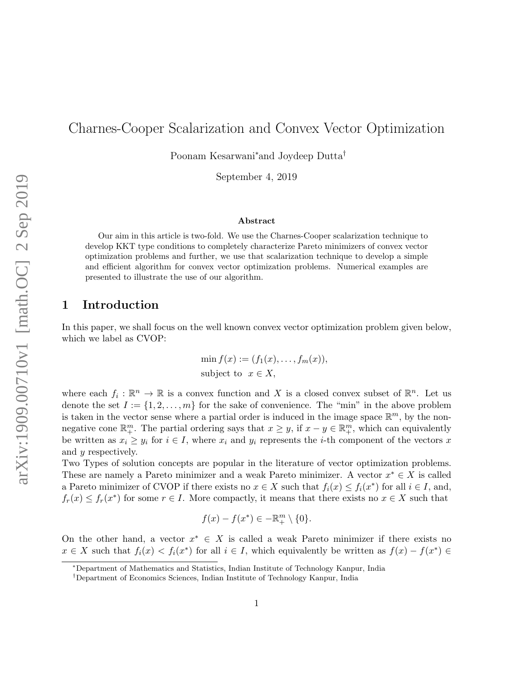# Charnes-Cooper Scalarization and Convex Vector Optimization

Poonam Kesarwani<sup>∗</sup>and Joydeep Dutta†

September 4, 2019

#### Abstract

Our aim in this article is two-fold. We use the Charnes-Cooper scalarization technique to develop KKT type conditions to completely characterize Pareto minimizers of convex vector optimization problems and further, we use that scalarization technique to develop a simple and efficient algorithm for convex vector optimization problems. Numerical examples are presented to illustrate the use of our algorithm.

#### 1 Introduction

In this paper, we shall focus on the well known convex vector optimization problem given below, which we label as CVOP:

$$
\min f(x) := (f_1(x), \dots, f_m(x)),
$$
  
subject to  $x \in X$ ,

where each  $f_i: \mathbb{R}^n \to \mathbb{R}$  is a convex function and X is a closed convex subset of  $\mathbb{R}^n$ . Let us denote the set  $I := \{1, 2, \ldots, m\}$  for the sake of convenience. The "min" in the above problem is taken in the vector sense where a partial order is induced in the image space  $\mathbb{R}^m$ , by the nonnegative cone  $\mathbb{R}^m_+$ . The partial ordering says that  $x \geq y$ , if  $x - y \in \mathbb{R}^m_+$ , which can equivalently be written as  $x_i \geq y_i$  for  $i \in I$ , where  $x_i$  and  $y_i$  represents the *i*-th component of the vectors x and y respectively.

Two Types of solution concepts are popular in the literature of vector optimization problems. These are namely a Pareto minimizer and a weak Pareto minimizer. A vector  $x^* \in X$  is called a Pareto minimizer of CVOP if there exists no  $x \in X$  such that  $f_i(x) \leq f_i(x^*)$  for all  $i \in I$ , and,  $f_r(x) \leq f_r(x^*)$  for some  $r \in I$ . More compactly, it means that there exists no  $x \in X$  such that

$$
f(x) - f(x^*) \in -\mathbb{R}^m_+ \setminus \{0\}.
$$

On the other hand, a vector  $x^* \in X$  is called a weak Pareto minimizer if there exists no  $x \in X$  such that  $f_i(x) < f_i(x^*)$  for all  $i \in I$ , which equivalently be written as  $f(x) - f(x^*) \in$ 

<sup>∗</sup>Department of Mathematics and Statistics, Indian Institute of Technology Kanpur, India

<sup>†</sup>Department of Economics Sciences, Indian Institute of Technology Kanpur, India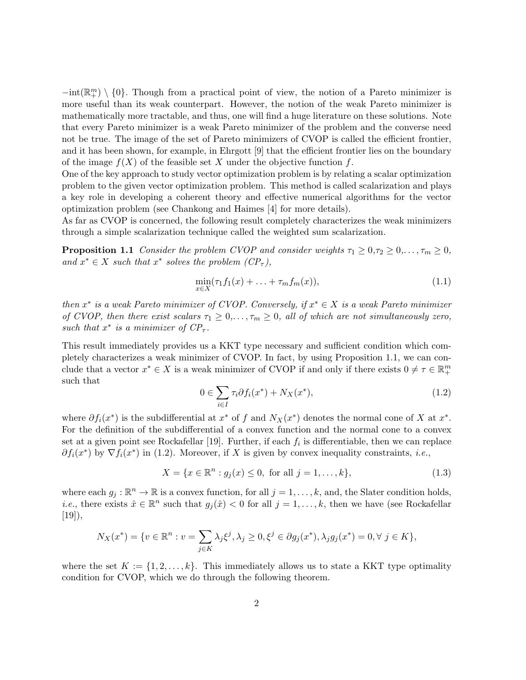$-int(\mathbb{R}^m_+) \setminus \{0\}$ . Though from a practical point of view, the notion of a Pareto minimizer is more useful than its weak counterpart. However, the notion of the weak Pareto minimizer is mathematically more tractable, and thus, one will find a huge literature on these solutions. Note that every Pareto minimizer is a weak Pareto minimizer of the problem and the converse need not be true. The image of the set of Pareto minimizers of CVOP is called the efficient frontier, and it has been shown, for example, in Ehrgott [9] that the efficient frontier lies on the boundary of the image  $f(X)$  of the feasible set X under the objective function f.

One of the key approach to study vector optimization problem is by relating a scalar optimization problem to the given vector optimization problem. This method is called scalarization and plays a key role in developing a coherent theory and effective numerical algorithms for the vector optimization problem (see Chankong and Haimes [4] for more details).

As far as CVOP is concerned, the following result completely characterizes the weak minimizers through a simple scalarization technique called the weighted sum scalarization.

**Proposition 1.1** Consider the problem CVOP and consider weights  $\tau_1 \geq 0, \tau_2 \geq 0, \ldots, \tau_m \geq 0$ , and  $x^* \in X$  such that  $x^*$  solves the problem  $(CP_{\tau})$ ,

$$
\min_{x \in X} (\tau_1 f_1(x) + \ldots + \tau_m f_m(x)),\tag{1.1}
$$

then  $x^*$  is a weak Pareto minimizer of CVOP. Conversely, if  $x^* \in X$  is a weak Pareto minimizer of CVOP, then there exist scalars  $\tau_1 \geq 0, \ldots, \tau_m \geq 0$ , all of which are not simultaneously zero, such that  $x^*$  is a minimizer of  $CP_{\tau}$ .

This result immediately provides us a KKT type necessary and sufficient condition which completely characterizes a weak minimizer of CVOP. In fact, by using Proposition 1.1, we can conclude that a vector  $x^* \in X$  is a weak minimizer of CVOP if and only if there exists  $0 \neq \tau \in \mathbb{R}^m_+$ such that

$$
0 \in \sum_{i \in I} \tau_i \partial f_i(x^*) + N_X(x^*), \tag{1.2}
$$

where  $\partial f_i(x^*)$  is the subdifferential at  $x^*$  of f and  $N_X(x^*)$  denotes the normal cone of X at  $x^*$ . For the definition of the subdifferential of a convex function and the normal cone to a convex set at a given point see Rockafellar [19]. Further, if each  $f_i$  is differentiable, then we can replace  $\partial f_i(x^*)$  by  $\nabla f_i(x^*)$  in (1.2). Moreover, if X is given by convex inequality constraints, *i.e.*,

$$
X = \{x \in \mathbb{R}^n : g_j(x) \le 0, \text{ for all } j = 1, ..., k\},\tag{1.3}
$$

where each  $g_j : \mathbb{R}^n \to \mathbb{R}$  is a convex function, for all  $j = 1, \ldots, k$ , and, the Slater condition holds, *i.e.*, there exists  $\hat{x} \in \mathbb{R}^n$  such that  $g_j(\hat{x}) < 0$  for all  $j = 1, ..., k$ , then we have (see Rockafellar  $[19]$ ,

$$
N_X(x^*) = \{ v \in \mathbb{R}^n : v = \sum_{j \in K} \lambda_j \xi^j, \lambda_j \ge 0, \xi^j \in \partial g_j(x^*), \lambda_j g_j(x^*) = 0, \forall j \in K \},\
$$

where the set  $K := \{1, 2, \ldots, k\}$ . This immediately allows us to state a KKT type optimality condition for CVOP, which we do through the following theorem.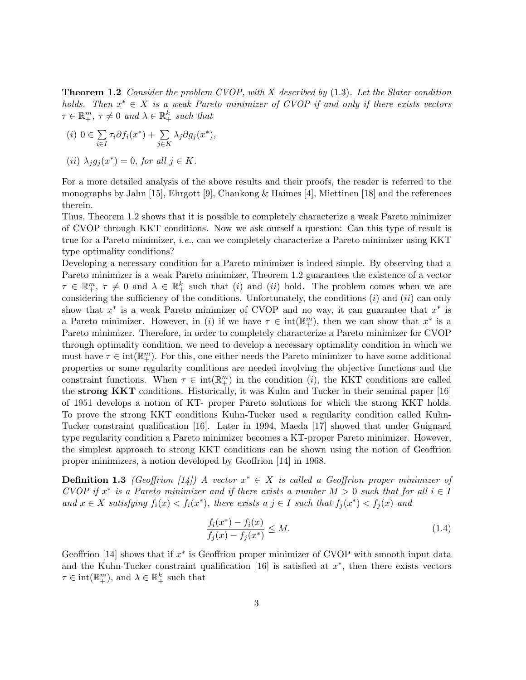**Theorem 1.2** Consider the problem CVOP, with X described by  $(1.3)$ . Let the Slater condition holds. Then  $x^* \in X$  is a weak Pareto minimizer of CVOP if and only if there exists vectors  $\tau \in \mathbb{R}_{+}^{m}$ ,  $\tau \neq 0$  and  $\lambda \in \mathbb{R}_{+}^{k}$  such that

$$
(i) \ 0 \in \sum_{i \in I} \tau_i \partial f_i(x^*) + \sum_{j \in K} \lambda_j \partial g_j(x^*),
$$

(ii) 
$$
\lambda_j g_j(x^*) = 0
$$
, for all  $j \in K$ .

For a more detailed analysis of the above results and their proofs, the reader is referred to the monographs by Jahn [15], Ehrgott [9], Chankong & Haimes [4], Miettinen [18] and the references therein.

Thus, Theorem 1.2 shows that it is possible to completely characterize a weak Pareto minimizer of CVOP through KKT conditions. Now we ask ourself a question: Can this type of result is true for a Pareto minimizer, i.e., can we completely characterize a Pareto minimizer using KKT type optimality conditions?

Developing a necessary condition for a Pareto minimizer is indeed simple. By observing that a Pareto minimizer is a weak Pareto minimizer, Theorem 1.2 guarantees the existence of a vector  $\tau \in \mathbb{R}_{+}^{m}$ ,  $\tau \neq 0$  and  $\lambda \in \mathbb{R}_{+}^{k}$  such that (*i*) and (*ii*) hold. The problem comes when we are considering the sufficiency of the conditions. Unfortunately, the conditions  $(i)$  and  $(ii)$  can only show that  $x^*$  is a weak Pareto minimizer of CVOP and no way, it can guarantee that  $x^*$  is a Pareto minimizer. However, in (i) if we have  $\tau \in \text{int}(\mathbb{R}^m_+)$ , then we can show that  $x^*$  is a Pareto minimizer. Therefore, in order to completely characterize a Pareto minimizer for CVOP through optimality condition, we need to develop a necessary optimality condition in which we must have  $\tau \in \text{int}(\mathbb{R}^m_+)$ . For this, one either needs the Pareto minimizer to have some additional properties or some regularity conditions are needed involving the objective functions and the constraint functions. When  $\tau \in \text{int}(\mathbb{R}^m_+)$  in the condition (*i*), the KKT conditions are called the strong KKT conditions. Historically, it was Kuhn and Tucker in their seminal paper [16] of 1951 develops a notion of KT- proper Pareto solutions for which the strong KKT holds. To prove the strong KKT conditions Kuhn-Tucker used a regularity condition called Kuhn-Tucker constraint qualification [16]. Later in 1994, Maeda [17] showed that under Guignard type regularity condition a Pareto minimizer becomes a KT-proper Pareto minimizer. However, the simplest approach to strong KKT conditions can be shown using the notion of Geoffrion proper minimizers, a notion developed by Geoffrion [14] in 1968.

**Definition 1.3** (Geoffrion [14]) A vector  $x^* \in X$  is called a Geoffrion proper minimizer of CVOP if  $x^*$  is a Pareto minimizer and if there exists a number  $M > 0$  such that for all  $i \in I$ and  $x \in X$  satisfying  $f_i(x) < f_i(x^*)$ , there exists a  $j \in I$  such that  $f_j(x^*) < f_j(x)$  and

$$
\frac{f_i(x^*) - f_i(x)}{f_j(x) - f_j(x^*)} \le M.
$$
\n(1.4)

Geoffrion [14] shows that if  $x^*$  is Geoffrion proper minimizer of CVOP with smooth input data and the Kuhn-Tucker constraint qualification  $[16]$  is satisfied at  $x^*$ , then there exists vectors  $\tau \in \text{int}(\mathbb{R}^m_+), \text{ and } \lambda \in \mathbb{R}^k_+ \text{ such that }$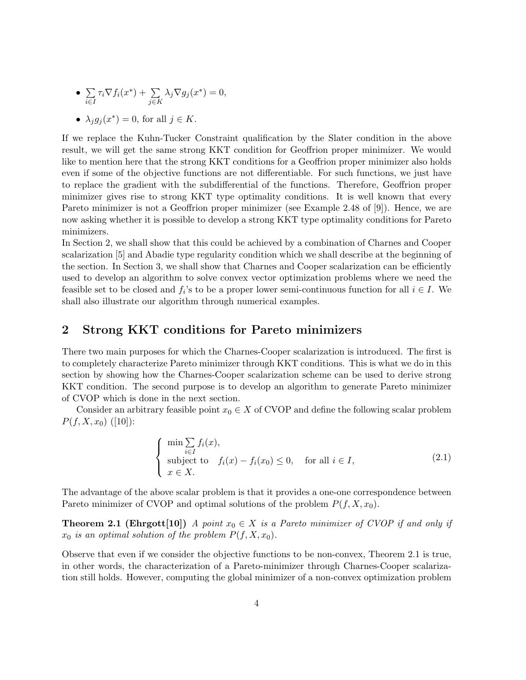• 
$$
\sum_{i \in I} \tau_i \nabla f_i(x^*) + \sum_{j \in K} \lambda_j \nabla g_j(x^*) = 0,
$$

• 
$$
\lambda_j g_j(x^*) = 0
$$
, for all  $j \in K$ .

If we replace the Kuhn-Tucker Constraint qualification by the Slater condition in the above result, we will get the same strong KKT condition for Geoffrion proper minimizer. We would like to mention here that the strong KKT conditions for a Geoffrion proper minimizer also holds even if some of the objective functions are not differentiable. For such functions, we just have to replace the gradient with the subdifferential of the functions. Therefore, Geoffrion proper minimizer gives rise to strong KKT type optimality conditions. It is well known that every Pareto minimizer is not a Geoffrion proper minimizer (see Example 2.48 of [9]). Hence, we are now asking whether it is possible to develop a strong KKT type optimality conditions for Pareto minimizers.

In Section 2, we shall show that this could be achieved by a combination of Charnes and Cooper scalarization [5] and Abadie type regularity condition which we shall describe at the beginning of the section. In Section 3, we shall show that Charnes and Cooper scalarization can be efficiently used to develop an algorithm to solve convex vector optimization problems where we need the feasible set to be closed and  $f_i$ 's to be a proper lower semi-continuous function for all  $i \in I$ . We shall also illustrate our algorithm through numerical examples.

### 2 Strong KKT conditions for Pareto minimizers

There two main purposes for which the Charnes-Cooper scalarization is introduced. The first is to completely characterize Pareto minimizer through KKT conditions. This is what we do in this section by showing how the Charnes-Cooper scalarization scheme can be used to derive strong KKT condition. The second purpose is to develop an algorithm to generate Pareto minimizer of CVOP which is done in the next section.

Consider an arbitrary feasible point  $x_0 \in X$  of CVOP and define the following scalar problem  $P(f, X, x_0)$  ([10]):

$$
\begin{cases}\n\min \sum_{i \in I} f_i(x), \\
\text{subject to} \quad f_i(x) - f_i(x_0) \le 0, \quad \text{for all } i \in I, \\
x \in X.\n\end{cases} \tag{2.1}
$$

The advantage of the above scalar problem is that it provides a one-one correspondence between Pareto minimizer of CVOP and optimal solutions of the problem  $P(f, X, x_0)$ .

**Theorem 2.1 (Ehrgott[10])** A point  $x_0 \in X$  is a Pareto minimizer of CVOP if and only if  $x_0$  is an optimal solution of the problem  $P(f, X, x_0)$ .

Observe that even if we consider the objective functions to be non-convex, Theorem 2.1 is true, in other words, the characterization of a Pareto-minimizer through Charnes-Cooper scalarization still holds. However, computing the global minimizer of a non-convex optimization problem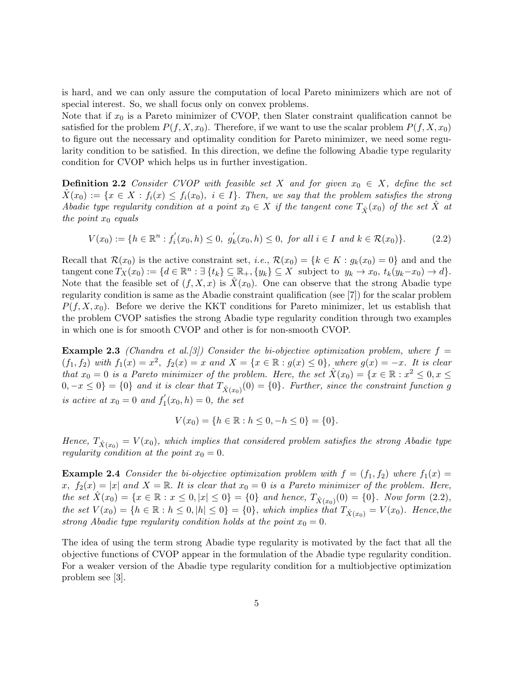is hard, and we can only assure the computation of local Pareto minimizers which are not of special interest. So, we shall focus only on convex problems.

Note that if  $x_0$  is a Pareto minimizer of CVOP, then Slater constraint qualification cannot be satisfied for the problem  $P(f, X, x_0)$ . Therefore, if we want to use the scalar problem  $P(f, X, x_0)$ to figure out the necessary and optimality condition for Pareto minimizer, we need some regularity condition to be satisfied. In this direction, we define the following Abadie type regularity condition for CVOP which helps us in further investigation.

**Definition 2.2** Consider CVOP with feasible set X and for given  $x_0 \in X$ , define the set  $X(x_0) := \{x \in X : f_i(x) \leq f_i(x_0), i \in I\}.$  Then, we say that the problem satisfies the strong Abadie type regularity condition at a point  $x_0 \in X$  if the tangent cone  $T_{\hat{X}}(x_0)$  of the set X at the point  $x_0$  equals

$$
V(x_0) := \{ h \in \mathbb{R}^n : f_i'(x_0, h) \le 0, \ g_k'(x_0, h) \le 0, \text{ for all } i \in I \text{ and } k \in \mathcal{R}(x_0) \}. \tag{2.2}
$$

Recall that  $\mathcal{R}(x_0)$  is the active constraint set, *i.e.*,  $\mathcal{R}(x_0) = \{k \in K : g_k(x_0) = 0\}$  and and the tangent cone  $T_X(x_0) := \{d \in \mathbb{R}^n : \exists \{t_k\} \subseteq \mathbb{R}_+, \{y_k\} \subseteq X \text{ subject to } y_k \to x_0, t_k(y_k-x_0) \to d\}.$ Note that the feasible set of  $(f, X, x)$  is  $X(x_0)$ . One can observe that the strong Abadie type regularity condition is same as the Abadie constraint qualification (see [7]) for the scalar problem  $P(f, X, x_0)$ . Before we derive the KKT conditions for Pareto minimizer, let us establish that the problem CVOP satisfies the strong Abadie type regularity condition through two examples in which one is for smooth CVOP and other is for non-smooth CVOP.

**Example 2.3** (Chandra et al. [3]) Consider the bi-objective optimization problem, where  $f =$  $(f_1, f_2)$  with  $f_1(x) = x^2$ ,  $f_2(x) = x$  and  $X = \{x \in \mathbb{R} : g(x) \le 0\}$ , where  $g(x) = -x$ . It is clear that  $x_0 = 0$  is a Pareto minimizer of the problem. Here, the set  $\hat{X}(x_0) = \{x \in \mathbb{R} : x^2 \leq 0, x \leq 1\}$  $0, -x \le 0\} = \{0\}$  and it is clear that  $T_{\hat{X}(x_0)}(0) = \{0\}$ . Further, since the constraint function g is active at  $x_0 = 0$  and  $f'_1$  $j_1'(x_0, h) = 0$ , the set

$$
V(x_0) = \{ h \in \mathbb{R} : h \le 0, -h \le 0 \} = \{ 0 \}.
$$

Hence,  $T_{\hat{X}(x_0)} = V(x_0)$ , which implies that considered problem satisfies the strong Abadie type regularity condition at the point  $x_0 = 0$ .

**Example 2.4** Consider the bi-objective optimization problem with  $f = (f_1, f_2)$  where  $f_1(x) =$ x,  $f_2(x) = |x|$  and  $X = \mathbb{R}$ . It is clear that  $x_0 = 0$  is a Pareto minimizer of the problem. Here, the set  $\hat{X}(x_0) = \{x \in \mathbb{R} : x \le 0, |x| \le 0\} = \{0\}$  and hence,  $T_{\hat{X}(x_0)}(0) = \{0\}$ . Now form  $(2.2)$ , the set  $V(x_0) = \{h \in \mathbb{R} : h \leq 0, |h| \leq 0\} = \{0\}$ , which implies that  $T_{\hat{X}(x_0)} = V(x_0)$ . Hence, the strong Abadie type regularity condition holds at the point  $x_0 = 0$ .

The idea of using the term strong Abadie type regularity is motivated by the fact that all the objective functions of CVOP appear in the formulation of the Abadie type regularity condition. For a weaker version of the Abadie type regularity condition for a multiobjective optimization problem see [3].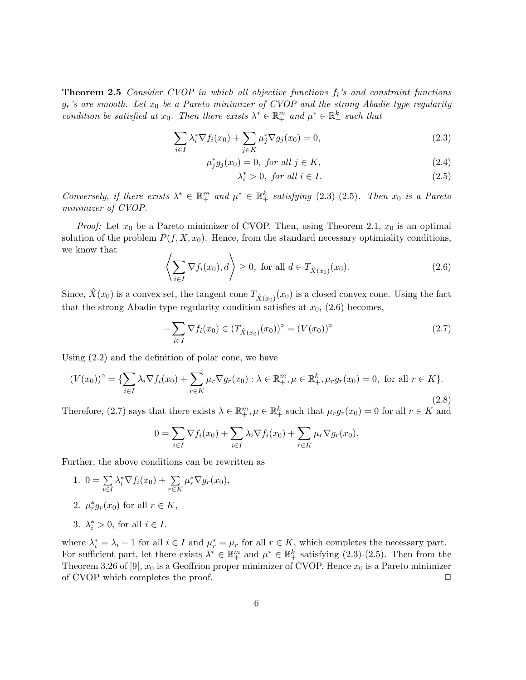**Theorem 2.5** Consider CVOP in which all objective functions  $f_i$ 's and constraint functions  $g_r$ 's are smooth. Let  $x_0$  be a Pareto minimizer of CVOP and the strong Abadie type regularity condition be satisfied at  $x_0$ . Then there exists  $\lambda^* \in \mathbb{R}^m_+$  and  $\mu^* \in \mathbb{R}^k_+$  such that

$$
\sum_{i \in I} \lambda_i^* \nabla f_i(x_0) + \sum_{j \in K} \mu_j^* \nabla g_j(x_0) = 0,
$$
\n(2.3)

$$
\mu_j^* g_j(x_0) = 0, \text{ for all } j \in K,
$$
\n
$$
(2.4)
$$

$$
\lambda_i^* > 0, \text{ for all } i \in I. \tag{2.5}
$$

Conversely, if there exists  $\lambda^* \in \mathbb{R}_+^m$  and  $\mu^* \in \mathbb{R}_+^k$  satisfying (2.3)-(2.5). Then  $x_0$  is a Pareto minimizer of CVOP.

*Proof:* Let  $x_0$  be a Pareto minimizer of CVOP. Then, using Theorem 2.1,  $x_0$  is an optimal solution of the problem  $P(f, X, x_0)$ . Hence, from the standard necessary optimiality conditions, we know that

$$
\left\langle \sum_{i \in I} \nabla f_i(x_0), d \right\rangle \ge 0, \text{ for all } d \in T_{\hat{X}(x_0)}(x_0). \tag{2.6}
$$

Since,  $\hat{X}(x_0)$  is a convex set, the tangent cone  $T_{\hat{X}(x_0)}(x_0)$  is a closed convex cone. Using the fact that the strong Abadie type regularity condition satisfies at  $x_0$ , (2.6) becomes,

$$
-\sum_{i\in I} \nabla f_i(x_0) \in (T_{\hat{X}(x_0)}(x_0))^{\circ} = (V(x_0))^{\circ} \tag{2.7}
$$

Using (2.2) and the definition of polar cone, we have

$$
(V(x_0))^{\circ} = \{ \sum_{i \in I} \lambda_i \nabla f_i(x_0) + \sum_{r \in K} \mu_r \nabla g_r(x_0) : \lambda \in \mathbb{R}_+^m, \mu \in \mathbb{R}_+^k, \mu_r g_r(x_0) = 0, \text{ for all } r \in K \}. \tag{2.8}
$$

Therefore, (2.7) says that there exists  $\lambda \in \mathbb{R}^m_+$ ,  $\mu \in \mathbb{R}^k_+$  such that  $\mu_r g_r(x_0) = 0$  for all  $r \in K$  and

$$
0 = \sum_{i \in I} \nabla f_i(x_0) + \sum_{i \in I} \lambda_i \nabla f_i(x_0) + \sum_{r \in K} \mu_r \nabla g_r(x_0).
$$

Further, the above conditions can be rewritten as

1. 
$$
0 = \sum_{i \in I} \lambda_i^* \nabla f_i(x_0) + \sum_{r \in K} \mu_r^* \nabla g_r(x_0),
$$

- 2.  $\mu_r^* g_r(x_0)$  for all  $r \in K$ ,
- 3.  $\lambda_i^* > 0$ , for all  $i \in I$ .

where  $\lambda_i^* = \lambda_i + 1$  for all  $i \in I$  and  $\mu_r^* = \mu_r$  for all  $r \in K$ , which completes the necessary part. For sufficient part, let there exists  $\lambda^* \in \mathbb{R}^m_+$  and  $\mu^* \in \mathbb{R}^k_+$  satisfying  $(2.3)-(2.5)$ . Then from the Theorem 3.26 of [9],  $x_0$  is a Geoffrion proper minimizer of CVOP. Hence  $x_0$  is a Pareto minimizer of CVOP which completes the proof.  $\Box$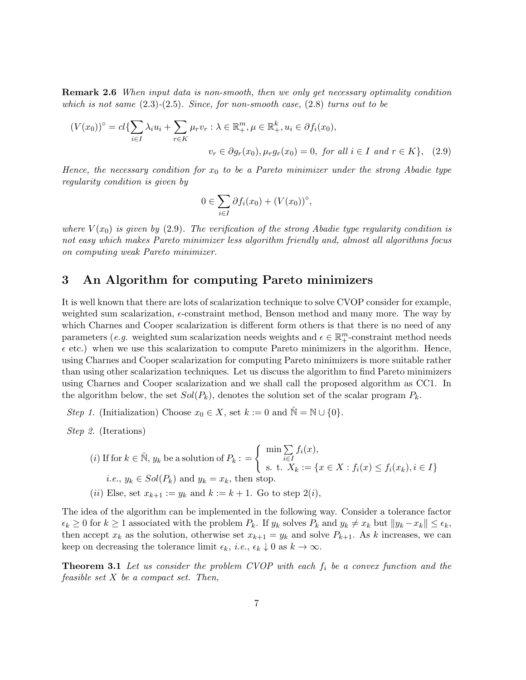Remark 2.6 When input data is non-smooth, then we only get necessary optimality condition which is not same  $(2.3)-(2.5)$ . Since, for non-smooth case,  $(2.8)$  turns out to be

$$
(V(x_0))^{\circ} = cl\{\sum_{i\in I} \lambda_i u_i + \sum_{r\in K} \mu_r v_r : \lambda \in \mathbb{R}_+^m, \mu \in \mathbb{R}_+^k, u_i \in \partial f_i(x_0),
$$

$$
v_r \in \partial g_r(x_0), \mu_r g_r(x_0) = 0, \text{ for all } i \in I \text{ and } r \in K\}, \quad (2.9)
$$

Hence, the necessary condition for  $x_0$  to be a Pareto minimizer under the strong Abadie type regularity condition is given by

$$
0 \in \sum_{i \in I} \partial f_i(x_0) + (V(x_0))^{\circ},
$$

where  $V(x_0)$  is given by (2.9). The verification of the strong Abadie type regularity condition is not easy which makes Pareto minimizer less algorithm friendly and, almost all algorithms focus on computing weak Pareto minimizer.

## 3 An Algorithm for computing Pareto minimizers

It is well known that there are lots of scalarization technique to solve CVOP consider for example, weighted sum scalarization,  $\epsilon$ -constraint method, Benson method and many more. The way by which Charnes and Cooper scalarization is different form others is that there is no need of any parameters (*e.g.* weighted sum scalarization needs weights and  $\epsilon \in \mathbb{R}^m_+$ -constraint method needs  $\epsilon$  etc.) when we use this scalarization to compute Pareto minimizers in the algorithm. Hence, using Charnes and Cooper scalarization for computing Pareto minimizers is more suitable rather than using other scalarization techniques. Let us discuss the algorithm to find Pareto minimizers using Charnes and Cooper scalarization and we shall call the proposed algorithm as CC1. In the algorithm below, the set  $Sol(P_k)$ , denotes the solution set of the scalar program  $P_k$ .

Step 1. (Initialization) Choose  $x_0 \in X$ , set  $k := 0$  and  $\mathbb{N} = \mathbb{N} \cup \{0\}.$ 

Step 2. (Iterations)

\n- (i) If for 
$$
k \in \mathbb{N}
$$
,  $y_k$  be a solution of  $P_k := \left\{ \begin{array}{l} \min \sum_{i \in I} f_i(x), \\ \text{s. t. } X_k := \{ x \in X : f_i(x) \le f_i(x_k), i \in I \} \end{array} \right.$
\n- i.e.,  $y_k \in Sol(P_k)$  and  $y_k = x_k$ , then stop.
\n- (ii) Else, set  $x_{k+1} := y_k$  and  $k := k+1$ . Go to step  $2(i)$ ,
\n

The idea of the algorithm can be implemented in the following way. Consider a tolerance factor  $\epsilon_k \geq 0$  for  $k \geq 1$  associated with the problem  $P_k$ . If  $y_k$  solves  $P_k$  and  $y_k \neq x_k$  but  $||y_k - x_k|| \leq \epsilon_k$ , then accept  $x_k$  as the solution, otherwise set  $x_{k+1} = y_k$  and solve  $P_{k+1}$ . As k increases, we can keep on decreasing the tolerance limit  $\epsilon_k$ , *i.e.*,  $\epsilon_k \downarrow 0$  as  $k \to \infty$ .

**Theorem 3.1** Let us consider the problem CVOP with each  $f_i$  be a convex function and the feasible set X be a compact set. Then,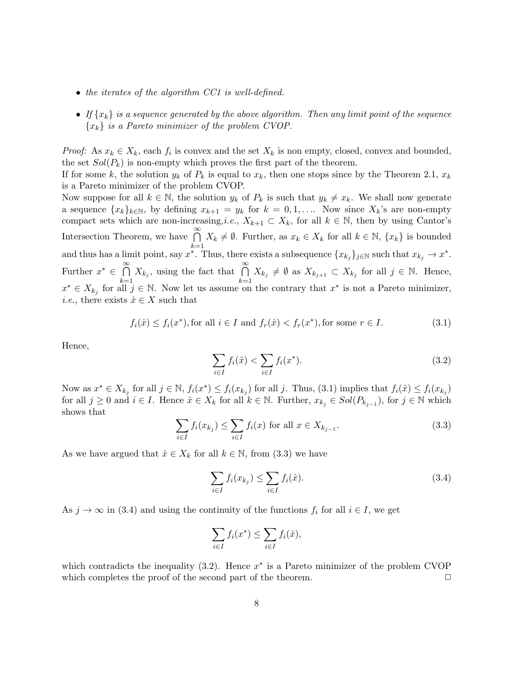- the iterates of the algorithm CC1 is well-defined.
- If  $\{x_k\}$  is a sequence generated by the above algorithm. Then any limit point of the sequence  ${x_k}$  is a Pareto minimizer of the problem CVOP.

*Proof:* As  $x_k \in X_k$ , each  $f_i$  is convex and the set  $X_k$  is non empty, closed, convex and bounded, the set  $Sol(P_k)$  is non-empty which proves the first part of the theorem.

If for some k, the solution  $y_k$  of  $P_k$  is equal to  $x_k$ , then one stops since by the Theorem 2.1,  $x_k$ is a Pareto minimizer of the problem CVOP.

Now suppose for all  $k \in \mathbb{N}$ , the solution  $y_k$  of  $P_k$  is such that  $y_k \neq x_k$ . We shall now generate a sequence  ${x_k}_{k\in\mathbb{N}}$ , by defining  $x_{k+1} = y_k$  for  $k = 0, 1, \ldots$ . Now since  $X_k$ 's are non-empty compact sets which are non-increasing,*i.e.*,  $X_{k+1} \subset X_k$ , for all  $k \in \mathbb{N}$ , then by using Cantor's Intersection Theorem, we have  $\bigcap^{\infty}$  $_{k=1}$  $X_k \neq \emptyset$ . Further, as  $x_k \in X_k$  for all  $k \in \mathbb{N}$ ,  $\{x_k\}$  is bounded and thus has a limit point, say  $x^*$ . Thus, there exists a subsequence  $\{x_{k_j}\}_{j\in\mathbb{N}}$  such that  $x_{k_j}\to x^*$ . Further  $x^* \in \bigcap^{\infty}$  $\bigcap_{k=1}^{\infty} X_{k_j}$ , using the fact that  $\bigcap_{k=1}^{\infty}$  $\bigcap_{k=1}^{\infty} X_{k_j} \neq \emptyset$  as  $X_{k_{j+1}} \subset X_{k_j}$  for all  $j \in \mathbb{N}$ . Hence,  $x^* \in X_{k_j}$  for all  $j \in \mathbb{N}$ . Now let us assume on the contrary that  $x^*$  is not a Pareto minimizer, *i.e.*, there exists  $\hat{x} \in X$  such that

$$
f_i(\hat{x}) \le f_i(x^*), \text{for all } i \in I \text{ and } f_r(\hat{x}) < f_r(x^*), \text{for some } r \in I. \tag{3.1}
$$

Hence,

$$
\sum_{i \in I} f_i(\hat{x}) < \sum_{i \in I} f_i(x^*). \tag{3.2}
$$

Now as  $x^* \in X_{k_j}$  for all  $j \in \mathbb{N}$ ,  $f_i(x^*) \leq f_i(x_{k_j})$  for all j. Thus, (3.1) implies that  $f_i(\hat{x}) \leq f_i(x_{k_j})$ for all  $j \geq 0$  and  $i \in I$ . Hence  $\hat{x} \in X_k$  for all  $k \in \mathbb{N}$ . Further,  $x_{k_j} \in Sol(P_{k_{j-1}})$ , for  $j \in \mathbb{N}$  which shows that

$$
\sum_{i \in I} f_i(x_{k_j}) \le \sum_{i \in I} f_i(x) \text{ for all } x \in X_{k_{j-1}}.
$$
\n(3.3)

As we have argued that  $\hat{x} \in X_k$  for all  $k \in \mathbb{N}$ , from (3.3) we have

$$
\sum_{i \in I} f_i(x_{k_j}) \le \sum_{i \in I} f_i(\hat{x}).
$$
\n(3.4)

As  $j \to \infty$  in (3.4) and using the continuity of the functions  $f_i$  for all  $i \in I$ , we get

$$
\sum_{i \in I} f_i(x^*) \le \sum_{i \in I} f_i(\hat{x}),
$$

which contradicts the inequality  $(3.2)$ . Hence  $x^*$  is a Pareto minimizer of the problem CVOP which completes the proof of the second part of the theorem.  $\Box$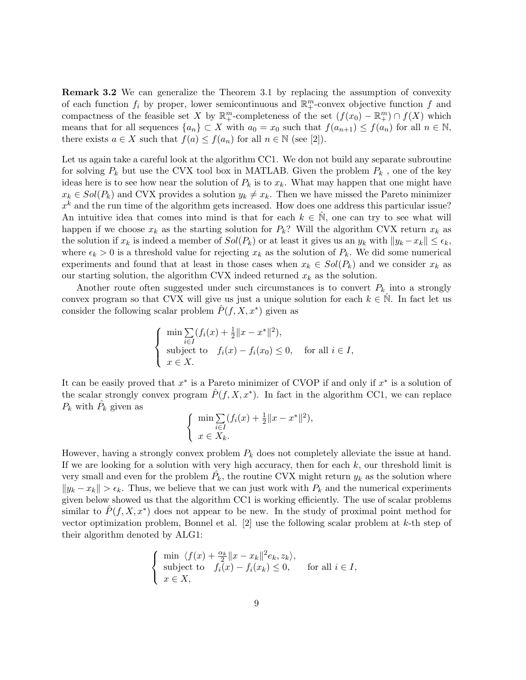Remark 3.2 We can generalize the Theorem 3.1 by replacing the assumption of convexity of each function  $f_i$  by proper, lower semicontinuous and  $\mathbb{R}^m_+$ -convex objective function f and compactness of the feasible set X by  $\mathbb{R}^m_+$ -completeness of the set  $(f(x_0) - \mathbb{R}^m_+) \cap f(X)$  which means that for all sequences  $\{a_n\} \subset X$  with  $a_0 = x_0$  such that  $f(a_{n+1}) \leq f(a_n)$  for all  $n \in \mathbb{N}$ , there exists  $a \in X$  such that  $f(a) \leq f(a_n)$  for all  $n \in \mathbb{N}$  (see [2]).

Let us again take a careful look at the algorithm CC1. We don not build any separate subroutine for solving  $P_k$  but use the CVX tool box in MATLAB. Given the problem  $P_k$ , one of the key ideas here is to see how near the solution of  $P_k$  is to  $x_k$ . What may happen that one might have  $x_k \in Sol(P_k)$  and CVX provides a solution  $y_k \neq x_k$ . Then we have missed the Pareto minimizer  $x<sup>k</sup>$  and the run time of the algorithm gets increased. How does one address this particular issue? An intuitive idea that comes into mind is that for each  $k \in \mathbb{N}$ , one can try to see what will happen if we choose  $x_k$  as the starting solution for  $P_k$ ? Will the algorithm CVX return  $x_k$  as the solution if  $x_k$  is indeed a member of  $Sol(P_k)$  or at least it gives us an  $y_k$  with  $||y_k - x_k|| \leq \epsilon_k$ , where  $\epsilon_k > 0$  is a threshold value for rejecting  $x_k$  as the solution of  $P_k$ . We did some numerical experiments and found that at least in those cases when  $x_k \in Sol(P_k)$  and we consider  $x_k$  as our starting solution, the algorithm CVX indeed returned  $x_k$  as the solution.

Another route often suggested under such circumstances is to convert  $P_k$  into a strongly convex program so that CVX will give us just a unique solution for each  $k \in \mathbb{N}$ . In fact let us consider the following scalar problem  $\hat{P}(f, X, x^*)$  given as

$$
\begin{cases}\n\min \sum_{i \in I} (f_i(x) + \frac{1}{2} ||x - x^*||^2), \\
\text{subject to} \quad f_i(x) - f_i(x_0) \le 0, \quad \text{for all } i \in I, \\
x \in X.\n\end{cases}
$$

It can be easily proved that  $x^*$  is a Pareto minimizer of CVOP if and only if  $x^*$  is a solution of the scalar strongly convex program  $\hat{P}(f, X, x^*)$ . In fact in the algorithm CC1, we can replace  $P_k$  with  $\hat{P}_k$  given as

$$
\begin{cases} \min \sum_{i \in I} (f_i(x) + \frac{1}{2} ||x - x^*||^2), \\ x \in X_k. \end{cases}
$$

However, having a strongly convex problem  $P_k$  does not completely alleviate the issue at hand. If we are looking for a solution with very high accuracy, then for each  $k$ , our threshold limit is very small and even for the problem  $\hat{P_k}$ , the routine CVX might return  $y_k$  as the solution where  $||y_k - x_k|| > \epsilon_k$ . Thus, we believe that we can just work with  $P_k$  and the numerical experiments given below showed us that the algorithm CC1 is working efficiently. The use of scalar problems similar to  $\hat{P}(f, X, x^*)$  does not appear to be new. In the study of proximal point method for vector optimization problem, Bonnel et al.  $[2]$  use the following scalar problem at k-th step of their algorithm denoted by ALG1:

$$
\begin{cases}\n\min \ \langle f(x) + \frac{\alpha_k}{2} ||x - x_k||^2 e_k, z_k \rangle, \\
\text{subject to} \quad f_i(x) - f_i(x_k) \le 0, \quad \text{for all } i \in I, \\
x \in X,\n\end{cases}
$$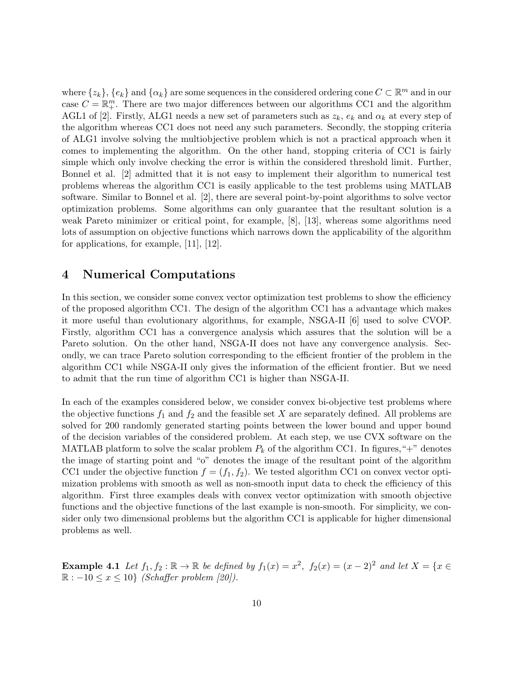where  $\{z_k\}$ ,  $\{e_k\}$  and  $\{\alpha_k\}$  are some sequences in the considered ordering cone  $C \subset \mathbb{R}^m$  and in our case  $C = \mathbb{R}_{+}^{m}$ . There are two major differences between our algorithms CC1 and the algorithm AGL1 of [2]. Firstly, ALG1 needs a new set of parameters such as  $z_k$ ,  $e_k$  and  $\alpha_k$  at every step of the algorithm whereas CC1 does not need any such parameters. Secondly, the stopping criteria of ALG1 involve solving the multiobjective problem which is not a practical approach when it comes to implementing the algorithm. On the other hand, stopping criteria of CC1 is fairly simple which only involve checking the error is within the considered threshold limit. Further, Bonnel et al. [2] admitted that it is not easy to implement their algorithm to numerical test problems whereas the algorithm CC1 is easily applicable to the test problems using MATLAB software. Similar to Bonnel et al. [2], there are several point-by-point algorithms to solve vector optimization problems. Some algorithms can only guarantee that the resultant solution is a weak Pareto minimizer or critical point, for example, [8], [13], whereas some algorithms need lots of assumption on objective functions which narrows down the applicability of the algorithm for applications, for example, [11], [12].

#### 4 Numerical Computations

In this section, we consider some convex vector optimization test problems to show the efficiency of the proposed algorithm CC1. The design of the algorithm CC1 has a advantage which makes it more useful than evolutionary algorithms, for example, NSGA-II [6] used to solve CVOP. Firstly, algorithm CC1 has a convergence analysis which assures that the solution will be a Pareto solution. On the other hand, NSGA-II does not have any convergence analysis. Secondly, we can trace Pareto solution corresponding to the efficient frontier of the problem in the algorithm CC1 while NSGA-II only gives the information of the efficient frontier. But we need to admit that the run time of algorithm CC1 is higher than NSGA-II.

In each of the examples considered below, we consider convex bi-objective test problems where the objective functions  $f_1$  and  $f_2$  and the feasible set X are separately defined. All problems are solved for 200 randomly generated starting points between the lower bound and upper bound of the decision variables of the considered problem. At each step, we use CVX software on the MATLAB platform to solve the scalar problem  $P_k$  of the algorithm CC1. In figures, "+" denotes the image of starting point and "o" denotes the image of the resultant point of the algorithm CC1 under the objective function  $f = (f_1, f_2)$ . We tested algorithm CC1 on convex vector optimization problems with smooth as well as non-smooth input data to check the efficiency of this algorithm. First three examples deals with convex vector optimization with smooth objective functions and the objective functions of the last example is non-smooth. For simplicity, we consider only two dimensional problems but the algorithm CC1 is applicable for higher dimensional problems as well.

**Example 4.1** Let  $f_1, f_2 : \mathbb{R} \to \mathbb{R}$  be defined by  $f_1(x) = x^2$ ,  $f_2(x) = (x - 2)^2$  and let  $X = \{x \in \mathbb{R} \mid x \in \mathbb{R}\}$  $\mathbb{R} : -10 \leq x \leq 10$  (Schaffer problem [20]).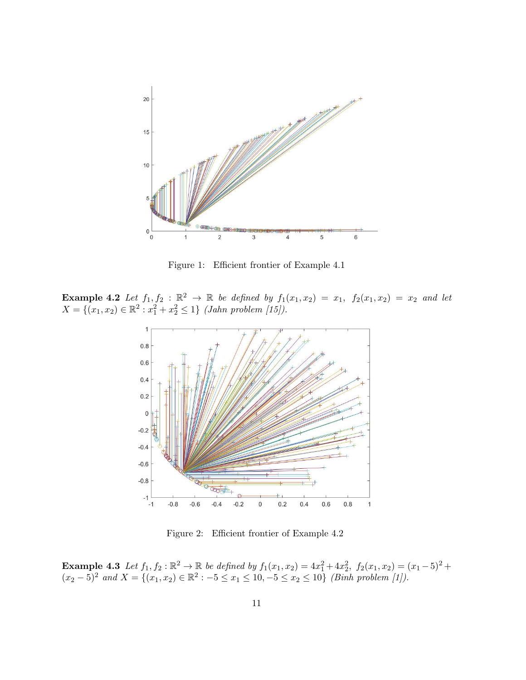

Figure 1: Efficient frontier of Example 4.1

**Example 4.2** Let  $f_1, f_2 : \mathbb{R}^2 \to \mathbb{R}$  be defined by  $f_1(x_1, x_2) = x_1$ ,  $f_2(x_1, x_2) = x_2$  and let  $X = \{(x_1, x_2) \in \mathbb{R}^2 : x_1^2 + x_2^2 \le 1\}$  (Jahn problem [15]).



Figure 2: Efficient frontier of Example 4.2

**Example 4.3** Let  $f_1, f_2 : \mathbb{R}^2 \to \mathbb{R}$  be defined by  $f_1(x_1, x_2) = 4x_1^2 + 4x_2^2$ ,  $f_2(x_1, x_2) = (x_1 - 5)^2 +$  $(x_2-5)^2$  and  $X = \{(x_1, x_2) \in \mathbb{R}^2 : -5 \le x_1 \le 10, -5 \le x_2 \le 10\}$  (Binh problem [1]).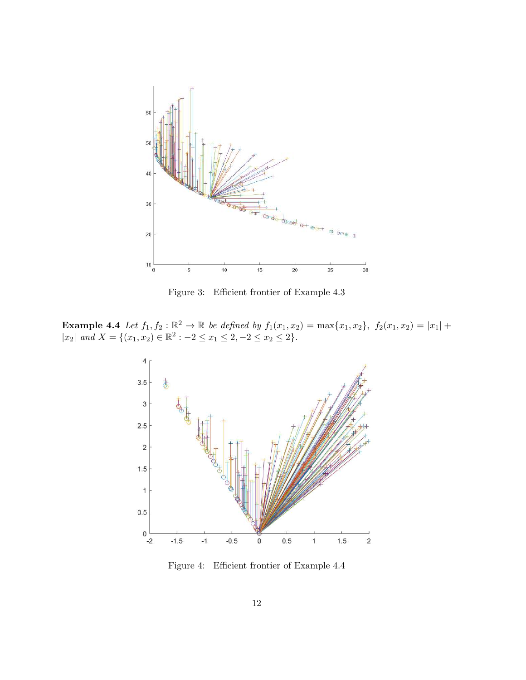

Figure 3: Efficient frontier of Example 4.3

**Example 4.4** Let  $f_1, f_2 : \mathbb{R}^2 \to \mathbb{R}$  be defined by  $f_1(x_1, x_2) = \max\{x_1, x_2\}, f_2(x_1, x_2) = |x_1| +$  $|x_2|$  and  $X = \{(x_1, x_2) \in \mathbb{R}^2 : -2 \le x_1 \le 2, -2 \le x_2 \le 2\}.$ 



Figure 4: Efficient frontier of Example 4.4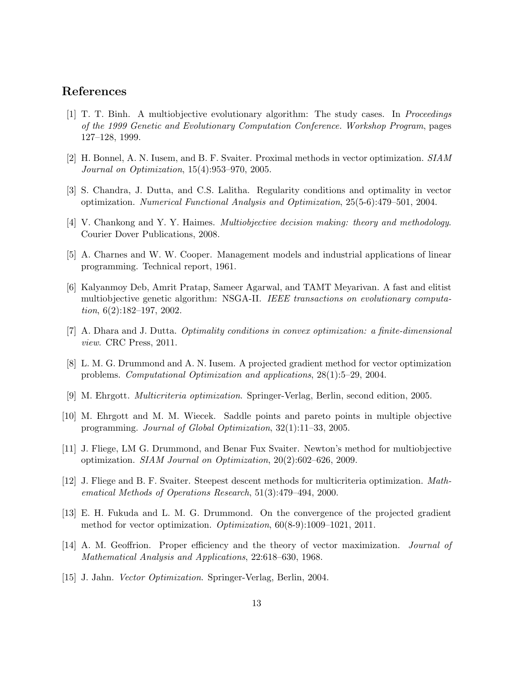#### References

- [1] T. T. Binh. A multiobjective evolutionary algorithm: The study cases. In Proceedings of the 1999 Genetic and Evolutionary Computation Conference. Workshop Program, pages 127–128, 1999.
- [2] H. Bonnel, A. N. Iusem, and B. F. Svaiter. Proximal methods in vector optimization. SIAM Journal on Optimization, 15(4):953–970, 2005.
- [3] S. Chandra, J. Dutta, and C.S. Lalitha. Regularity conditions and optimality in vector optimization. Numerical Functional Analysis and Optimization, 25(5-6):479–501, 2004.
- [4] V. Chankong and Y. Y. Haimes. Multiobjective decision making: theory and methodology. Courier Dover Publications, 2008.
- [5] A. Charnes and W. W. Cooper. Management models and industrial applications of linear programming. Technical report, 1961.
- [6] Kalyanmoy Deb, Amrit Pratap, Sameer Agarwal, and TAMT Meyarivan. A fast and elitist multiobjective genetic algorithm: NSGA-II. IEEE transactions on evolutionary computation, 6(2):182–197, 2002.
- [7] A. Dhara and J. Dutta. Optimality conditions in convex optimization: a finite-dimensional view. CRC Press, 2011.
- [8] L. M. G. Drummond and A. N. Iusem. A projected gradient method for vector optimization problems. Computational Optimization and applications, 28(1):5–29, 2004.
- [9] M. Ehrgott. Multicriteria optimization. Springer-Verlag, Berlin, second edition, 2005.
- [10] M. Ehrgott and M. M. Wiecek. Saddle points and pareto points in multiple objective programming. Journal of Global Optimization, 32(1):11–33, 2005.
- [11] J. Fliege, LM G. Drummond, and Benar Fux Svaiter. Newton's method for multiobjective optimization. SIAM Journal on Optimization, 20(2):602–626, 2009.
- [12] J. Fliege and B. F. Svaiter. Steepest descent methods for multicriteria optimization. Mathematical Methods of Operations Research, 51(3):479–494, 2000.
- [13] E. H. Fukuda and L. M. G. Drummond. On the convergence of the projected gradient method for vector optimization. Optimization, 60(8-9):1009–1021, 2011.
- [14] A. M. Geoffrion. Proper efficiency and the theory of vector maximization. Journal of Mathematical Analysis and Applications, 22:618–630, 1968.
- [15] J. Jahn. Vector Optimization. Springer-Verlag, Berlin, 2004.